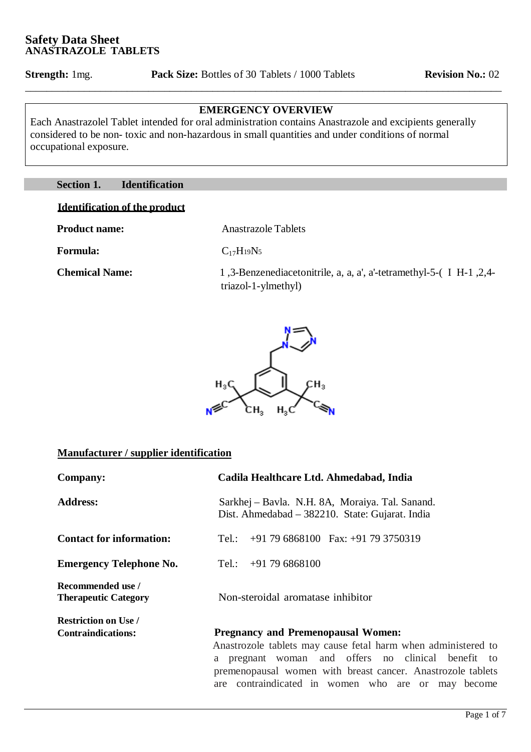# **EMERGENCY OVERVIEW**

\_\_\_\_\_\_\_\_\_\_\_\_\_\_\_\_\_\_\_\_\_\_\_\_\_\_\_\_\_\_\_\_\_\_\_\_\_\_\_\_\_\_\_\_\_\_\_\_\_\_\_\_\_\_\_\_\_\_\_\_\_\_\_\_\_\_\_\_\_\_\_\_\_\_\_\_\_\_\_\_\_\_\_\_\_\_\_\_\_

Each Anastrazolel Tablet intended for oral administration contains Anastrazole and excipients generally considered to be non- toxic and non-hazardous in small quantities and under conditions of normal occupational exposure.

## **Section 1. Identification**

## **Identification of the product**

**Product name:** Anastrazole Tablets

**Formula:** C<sub>17</sub>H<sub>19</sub>N<sub>5</sub>

 **Chemical Name:** 1 ,3-Benzenediacetonitrile, a, a, a', a'-tetramethyl-5-( I H-1 ,2,4 triazol-1-ylmethyl)

are contraindicated in women who are or may become



#### **Manufacturer / supplier identification**

| <b>Company:</b>                                          | Cadila Healthcare Ltd. Ahmedabad, India                                                                                                                                                                                            |
|----------------------------------------------------------|------------------------------------------------------------------------------------------------------------------------------------------------------------------------------------------------------------------------------------|
| <b>Address:</b>                                          | Sarkhej – Bavla. N.H. 8A, Moraiya. Tal. Sanand.<br>Dist. Ahmedabad – 382210. State: Gujarat. India                                                                                                                                 |
| <b>Contact for information:</b>                          | $+91$ 79 6868100 Fax: $+91$ 79 3750319<br>Tel.:                                                                                                                                                                                    |
| <b>Emergency Telephone No.</b>                           | $+91796868100$<br>Tel.:                                                                                                                                                                                                            |
| Recommended use /<br><b>Therapeutic Category</b>         | Non-steroidal aromatase inhibitor                                                                                                                                                                                                  |
| <b>Restriction on Use /</b><br><b>Contraindications:</b> | <b>Pregnancy and Premenopausal Women:</b><br>Anastrozole tablets may cause fetal harm when administered to<br>pregnant woman and offers no clinical benefit to<br>a<br>premenopausal women with breast cancer. Anastrozole tablets |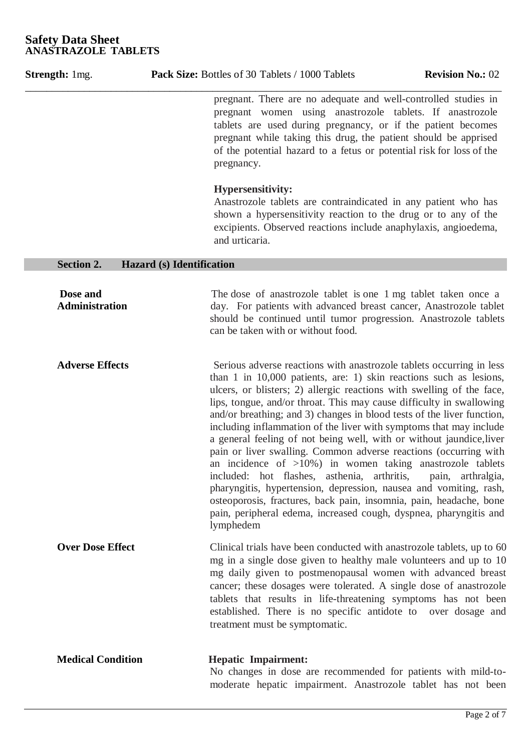| <b>Strength:</b> 1mg.             | <b>Pack Size:</b> Bottles of 30 Tablets / 1000 Tablets                                                                                                                                                                                                                                                                                                                                                                                                                                                                                                                                                                                                                                                                                                                                                                                                                                                                                 | <b>Revision No.: 02</b> |
|-----------------------------------|----------------------------------------------------------------------------------------------------------------------------------------------------------------------------------------------------------------------------------------------------------------------------------------------------------------------------------------------------------------------------------------------------------------------------------------------------------------------------------------------------------------------------------------------------------------------------------------------------------------------------------------------------------------------------------------------------------------------------------------------------------------------------------------------------------------------------------------------------------------------------------------------------------------------------------------|-------------------------|
|                                   | pregnant. There are no adequate and well-controlled studies in<br>pregnant women using anastrozole tablets. If anastrozole<br>tablets are used during pregnancy, or if the patient becomes<br>pregnant while taking this drug, the patient should be apprised<br>of the potential hazard to a fetus or potential risk for loss of the<br>pregnancy.                                                                                                                                                                                                                                                                                                                                                                                                                                                                                                                                                                                    |                         |
|                                   | <b>Hypersensitivity:</b><br>Anastrozole tablets are contraindicated in any patient who has<br>shown a hypersensitivity reaction to the drug or to any of the<br>excipients. Observed reactions include anaphylaxis, angioedema,<br>and urticaria.                                                                                                                                                                                                                                                                                                                                                                                                                                                                                                                                                                                                                                                                                      |                         |
| <b>Section 2.</b>                 | <b>Hazard (s)</b> Identification                                                                                                                                                                                                                                                                                                                                                                                                                                                                                                                                                                                                                                                                                                                                                                                                                                                                                                       |                         |
| Dose and<br><b>Administration</b> | The dose of anastrozole tablet is one 1 mg tablet taken once a<br>day. For patients with advanced breast cancer, Anastrozole tablet<br>should be continued until tumor progression. Anastrozole tablets<br>can be taken with or without food.                                                                                                                                                                                                                                                                                                                                                                                                                                                                                                                                                                                                                                                                                          |                         |
| <b>Adverse Effects</b>            | Serious adverse reactions with anastrozole tablets occurring in less<br>than 1 in $10,000$ patients, are: 1) skin reactions such as lesions,<br>ulcers, or blisters; 2) allergic reactions with swelling of the face,<br>lips, tongue, and/or throat. This may cause difficulty in swallowing<br>and/or breathing; and 3) changes in blood tests of the liver function,<br>including inflammation of the liver with symptoms that may include<br>a general feeling of not being well, with or without jaundice, liver<br>pain or liver swalling. Common adverse reactions (occurring with<br>an incidence of $>10\%$ ) in women taking anastrozole tablets<br>included: hot flashes, asthenia, arthritis,<br>pharyngitis, hypertension, depression, nausea and vomiting, rash,<br>osteoporosis, fractures, back pain, insomnia, pain, headache, bone<br>pain, peripheral edema, increased cough, dyspnea, pharyngitis and<br>lymphedem | pain, arthralgia,       |
| <b>Over Dose Effect</b>           | Clinical trials have been conducted with anastrozole tablets, up to 60<br>mg in a single dose given to healthy male volunteers and up to 10<br>mg daily given to postmenopausal women with advanced breast<br>cancer; these dosages were tolerated. A single dose of anastrozole<br>tablets that results in life-threatening symptoms has not been<br>established. There is no specific antidote to over dosage and<br>treatment must be symptomatic.                                                                                                                                                                                                                                                                                                                                                                                                                                                                                  |                         |
| <b>Medical Condition</b>          | <b>Hepatic Impairment:</b><br>No changes in dose are recommended for patients with mild-to-<br>moderate hepatic impairment. Anastrozole tablet has not been                                                                                                                                                                                                                                                                                                                                                                                                                                                                                                                                                                                                                                                                                                                                                                            |                         |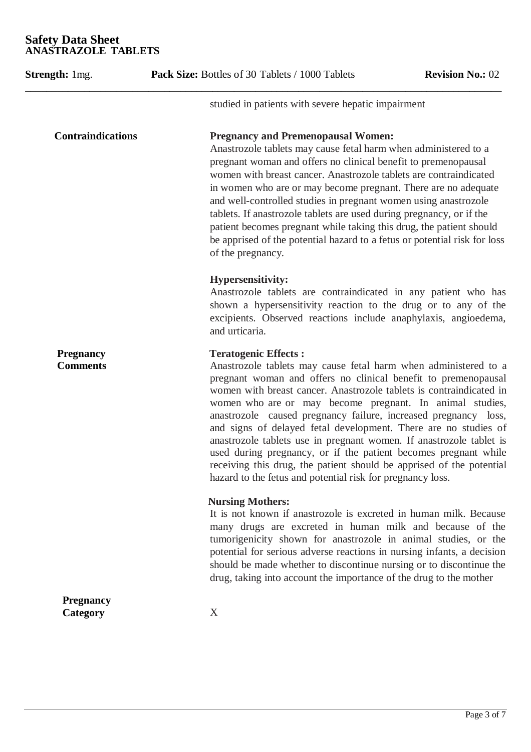| <b>Strength:</b> 1mg.               | Pack Size: Bottles of 30 Tablets / 1000 Tablets<br><b>Revision No.: 02</b>                                                                                                                                                                                                                                                                                                                                                                                                                                                                                                                                                                                                                                                |
|-------------------------------------|---------------------------------------------------------------------------------------------------------------------------------------------------------------------------------------------------------------------------------------------------------------------------------------------------------------------------------------------------------------------------------------------------------------------------------------------------------------------------------------------------------------------------------------------------------------------------------------------------------------------------------------------------------------------------------------------------------------------------|
|                                     | studied in patients with severe hepatic impairment                                                                                                                                                                                                                                                                                                                                                                                                                                                                                                                                                                                                                                                                        |
| <b>Contraindications</b>            | <b>Pregnancy and Premenopausal Women:</b><br>Anastrozole tablets may cause fetal harm when administered to a<br>pregnant woman and offers no clinical benefit to premenopausal<br>women with breast cancer. Anastrozole tablets are contraindicated<br>in women who are or may become pregnant. There are no adequate<br>and well-controlled studies in pregnant women using anastrozole<br>tablets. If anastrozole tablets are used during pregnancy, or if the<br>patient becomes pregnant while taking this drug, the patient should<br>be apprised of the potential hazard to a fetus or potential risk for loss<br>of the pregnancy.                                                                                 |
|                                     | <b>Hypersensitivity:</b><br>Anastrozole tablets are contraindicated in any patient who has<br>shown a hypersensitivity reaction to the drug or to any of the<br>excipients. Observed reactions include anaphylaxis, angioedema,<br>and urticaria.                                                                                                                                                                                                                                                                                                                                                                                                                                                                         |
| <b>Pregnancy</b><br><b>Comments</b> | <b>Teratogenic Effects:</b><br>Anastrozole tablets may cause fetal harm when administered to a<br>pregnant woman and offers no clinical benefit to premenopausal<br>women with breast cancer. Anastrozole tablets is contraindicated in<br>women who are or may become pregnant. In animal studies,<br>anastrozole caused pregnancy failure, increased pregnancy loss,<br>and signs of delayed fetal development. There are no studies of<br>anastrozole tablets use in pregnant women. If anastrozole tablet is<br>used during pregnancy, or if the patient becomes pregnant while<br>receiving this drug, the patient should be apprised of the potential<br>hazard to the fetus and potential risk for pregnancy loss. |
|                                     | <b>Nursing Mothers:</b><br>It is not known if anastrozole is excreted in human milk. Because<br>many drugs are excreted in human milk and because of the<br>tumorigenicity shown for anastrozole in animal studies, or the<br>potential for serious adverse reactions in nursing infants, a decision<br>should be made whether to discontinue nursing or to discontinue the<br>drug, taking into account the importance of the drug to the mother                                                                                                                                                                                                                                                                         |
| <b>Pregnancy</b><br>Category        | X                                                                                                                                                                                                                                                                                                                                                                                                                                                                                                                                                                                                                                                                                                                         |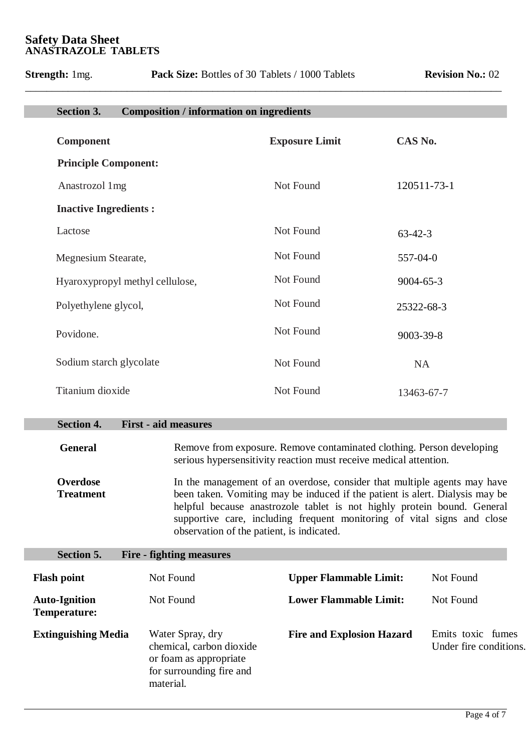**Strength:** 1mg. **Pack Size:** Bottles of 30 Tablets / 1000 Tablets **Revision No.:** 02

| <b>Section 3.</b><br><b>Composition / information on ingredients</b> |                       |                 |
|----------------------------------------------------------------------|-----------------------|-----------------|
| <b>Component</b>                                                     | <b>Exposure Limit</b> | CAS No.         |
| <b>Principle Component:</b>                                          |                       |                 |
| Anastrozol 1mg                                                       | Not Found             | 120511-73-1     |
| <b>Inactive Ingredients:</b>                                         |                       |                 |
| Lactose                                                              | Not Found             | $63 - 42 - 3$   |
| Megnesium Stearate,                                                  | Not Found             | 557-04-0        |
| Hyaroxypropyl methyl cellulose,                                      | Not Found             | $9004 - 65 - 3$ |
| Polyethylene glycol,                                                 | Not Found             | 25322-68-3      |
| Povidone.                                                            | Not Found             | 9003-39-8       |
| Sodium starch glycolate                                              | Not Found             | <b>NA</b>       |
| Titanium dioxide                                                     | Not Found             | 13463-67-7      |
| <b>Section 4.</b><br><b>First - aid measures</b>                     |                       |                 |
|                                                                      |                       |                 |
|                                                                      |                       |                 |

\_\_\_\_\_\_\_\_\_\_\_\_\_\_\_\_\_\_\_\_\_\_\_\_\_\_\_\_\_\_\_\_\_\_\_\_\_\_\_\_\_\_\_\_\_\_\_\_\_\_\_\_\_\_\_\_\_\_\_\_\_\_\_\_\_\_\_\_\_\_\_\_\_\_\_\_\_\_\_\_\_\_\_\_\_\_\_\_\_

**General** Remove from exposure. Remove contaminated clothing. Person developing serious hypersensitivity reaction must receive medical attention.

 **Overdose Treatment** In the management of an overdose, consider that multiple agents may have been taken. Vomiting may be induced if the patient is alert. Dialysis may be helpful because anastrozole tablet is not highly protein bound. General supportive care, including frequent monitoring of vital signs and close observation of the patient, is indicated.

| <b>Section 5.</b>                           | Fire - fighting measures                                                                                        |                                  |                                             |
|---------------------------------------------|-----------------------------------------------------------------------------------------------------------------|----------------------------------|---------------------------------------------|
| <b>Flash point</b>                          | Not Found                                                                                                       | <b>Upper Flammable Limit:</b>    | Not Found                                   |
| <b>Auto-Ignition</b><br><b>Temperature:</b> | Not Found                                                                                                       | <b>Lower Flammable Limit:</b>    | Not Found                                   |
| <b>Extinguishing Media</b>                  | Water Spray, dry<br>chemical, carbon dioxide<br>or foam as appropriate<br>for surrounding fire and<br>material. | <b>Fire and Explosion Hazard</b> | Emits toxic fumes<br>Under fire conditions. |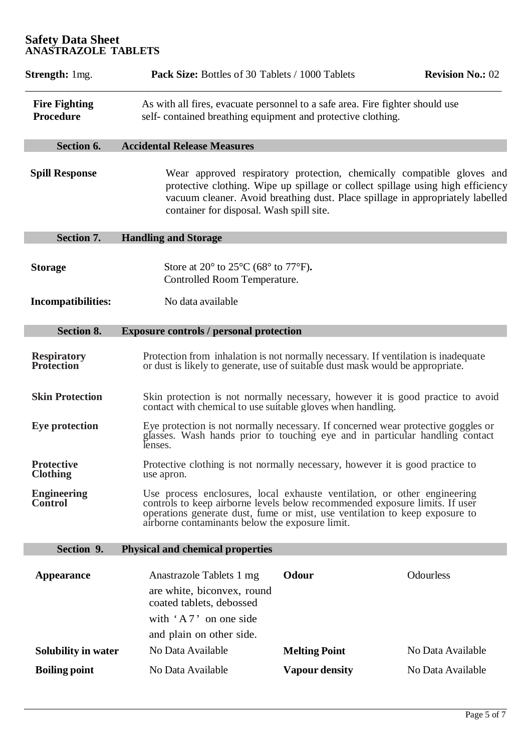| <b>Strength:</b> 1mg.                    | Pack Size: Bottles of 30 Tablets / 1000 Tablets                                                                                                                                                                                                                                           |                       | <b>Revision No.: 02</b> |  |
|------------------------------------------|-------------------------------------------------------------------------------------------------------------------------------------------------------------------------------------------------------------------------------------------------------------------------------------------|-----------------------|-------------------------|--|
| <b>Fire Fighting</b><br><b>Procedure</b> | As with all fires, evacuate personnel to a safe area. Fire fighter should use<br>self-contained breathing equipment and protective clothing.                                                                                                                                              |                       |                         |  |
| Section 6.                               | <b>Accidental Release Measures</b>                                                                                                                                                                                                                                                        |                       |                         |  |
| <b>Spill Response</b>                    | Wear approved respiratory protection, chemically compatible gloves and<br>protective clothing. Wipe up spillage or collect spillage using high efficiency<br>vacuum cleaner. Avoid breathing dust. Place spillage in appropriately labelled<br>container for disposal. Wash spill site.   |                       |                         |  |
| <b>Section 7.</b>                        | <b>Handling and Storage</b>                                                                                                                                                                                                                                                               |                       |                         |  |
| <b>Storage</b>                           | Store at 20 $\degree$ to 25 $\degree$ C (68 $\degree$ to 77 $\degree$ F).<br>Controlled Room Temperature.                                                                                                                                                                                 |                       |                         |  |
| <b>Incompatibilities:</b>                | No data available                                                                                                                                                                                                                                                                         |                       |                         |  |
| <b>Section 8.</b>                        | <b>Exposure controls / personal protection</b>                                                                                                                                                                                                                                            |                       |                         |  |
| <b>Respiratory</b><br><b>Profection</b>  | Protection from inhalation is not normally necessary. If ventilation is inadequate<br>or dust is likely to generate, use of suitable dust mask would be appropriate.                                                                                                                      |                       |                         |  |
| <b>Skin Protection</b>                   | Skin protection is not normally necessary, however it is good practice to avoid<br>contact with chemical to use suitable gloves when handling.                                                                                                                                            |                       |                         |  |
| <b>Eye protection</b>                    | Eye protection is not normally necessary. If concerned wear protective goggles or<br>glasses. Wash hands prior to touching eye and in particular handling contact<br>lenses.                                                                                                              |                       |                         |  |
| <b>Protective</b><br><b>Clothing</b>     | Protective clothing is not normally necessary, however it is good practice to<br>use apron.                                                                                                                                                                                               |                       |                         |  |
| <b>Engineering</b><br>Control            | Use process enclosures, local exhauste ventilation, or other engineering<br>controls to keep airborne levels below recommended exposure limits. If user<br>operations generate dust, fume or mist, use ventilation to keep exposure to<br>airborne contaminants below the exposure limit. |                       |                         |  |
| Section 9.                               | <b>Physical and chemical properties</b>                                                                                                                                                                                                                                                   |                       |                         |  |
| <b>Appearance</b>                        | Anastrazole Tablets 1 mg                                                                                                                                                                                                                                                                  | Odour                 | Odourless               |  |
|                                          | are white, biconvex, round<br>coated tablets, debossed                                                                                                                                                                                                                                    |                       |                         |  |
|                                          | with $'A7$ on one side                                                                                                                                                                                                                                                                    |                       |                         |  |
|                                          | and plain on other side.                                                                                                                                                                                                                                                                  |                       |                         |  |
| Solubility in water                      | No Data Available                                                                                                                                                                                                                                                                         | <b>Melting Point</b>  | No Data Available       |  |
| <b>Boiling point</b>                     | No Data Available                                                                                                                                                                                                                                                                         | <b>Vapour density</b> | No Data Available       |  |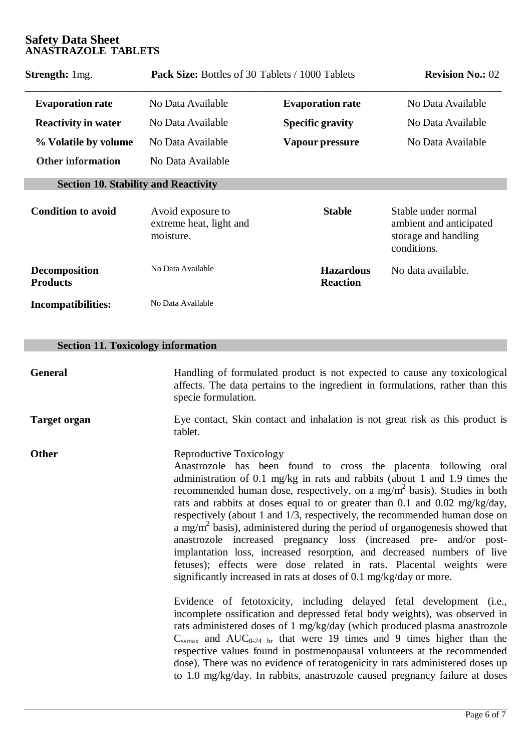| <b>Strength:</b> 1mg.                       | <b>Pack Size:</b> Bottles of 30 Tablets / 1000 Tablets    | <b>Revision No.: 02</b>             |                                                                                       |
|---------------------------------------------|-----------------------------------------------------------|-------------------------------------|---------------------------------------------------------------------------------------|
| <b>Evaporation rate</b>                     | No Data Available                                         | <b>Evaporation rate</b>             | No Data Available                                                                     |
| <b>Reactivity in water</b>                  | No Data Available                                         | <b>Specific gravity</b>             | No Data Available                                                                     |
| % Volatile by volume                        | No Data Available                                         | Vapour pressure                     |                                                                                       |
| <b>Other information</b>                    | No Data Available                                         |                                     |                                                                                       |
| <b>Section 10. Stability and Reactivity</b> |                                                           |                                     |                                                                                       |
| <b>Condition to avoid</b>                   | Avoid exposure to<br>extreme heat, light and<br>moisture. | <b>Stable</b>                       | Stable under normal<br>ambient and anticipated<br>storage and handling<br>conditions. |
| <b>Decomposition</b><br><b>Products</b>     | No Data Available                                         | <b>Hazardous</b><br><b>Reaction</b> | No data available.                                                                    |
| <b>Incompatibilities:</b>                   | No Data Available                                         |                                     |                                                                                       |

# **Section 11. Toxicology information**

| General             | Handling of formulated product is not expected to cause any toxicological<br>affects. The data pertains to the ingredient in formulations, rather than this<br>specie formulation.                                                                                                                                                                                                                                                                                                                                                                                                                                                                                                                                                                                                                         |
|---------------------|------------------------------------------------------------------------------------------------------------------------------------------------------------------------------------------------------------------------------------------------------------------------------------------------------------------------------------------------------------------------------------------------------------------------------------------------------------------------------------------------------------------------------------------------------------------------------------------------------------------------------------------------------------------------------------------------------------------------------------------------------------------------------------------------------------|
| <b>Target organ</b> | Eye contact, Skin contact and inhalation is not great risk as this product is<br>tablet.                                                                                                                                                                                                                                                                                                                                                                                                                                                                                                                                                                                                                                                                                                                   |
| <b>Other</b>        | Reproductive Toxicology<br>Anastrozole has been found to cross the placenta following oral<br>administration of 0.1 mg/kg in rats and rabbits (about 1 and 1.9 times the<br>recommended human dose, respectively, on a mg/ $m2$ basis). Studies in both<br>rats and rabbits at doses equal to or greater than 0.1 and 0.02 mg/kg/day,<br>respectively (about 1 and 1/3, respectively, the recommended human dose on<br>a mg/m <sup>2</sup> basis), administered during the period of organogenesis showed that<br>anastrozole increased pregnancy loss (increased pre- and/or post-<br>implantation loss, increased resorption, and decreased numbers of live<br>fetuses); effects were dose related in rats. Placental weights were<br>significantly increased in rats at doses of 0.1 mg/kg/day or more. |
|                     | Evidence of fetotoxicity, including delayed fetal development (i.e.,<br>incomplete ossification and depressed fetal body weights), was observed in<br>rats administered doses of 1 mg/kg/day (which produced plasma anastrozole<br>$C_{\text{ssmax}}$ and AUC <sub>0-24</sub> <sub>hr</sub> that were 19 times and 9 times higher than the<br>respective values found in postmenopausal volunteers at the recommended<br>dose). There was no evidence of teratogenicity in rats administered doses up<br>to 1.0 mg/kg/day. In rabbits, anastrozole caused pregnancy failure at doses                                                                                                                                                                                                                       |